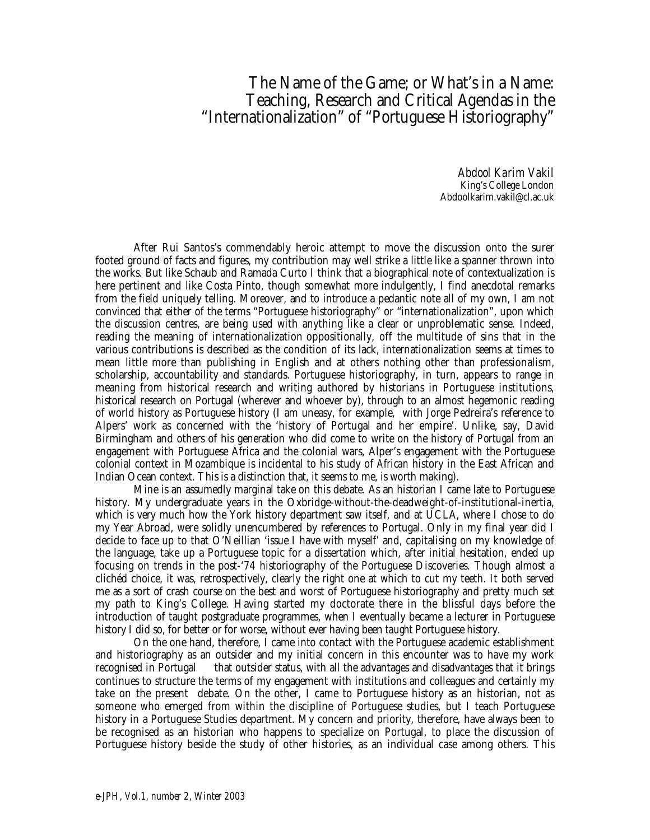## The Name of the Game; or What's in a Name: Teaching, Research and Critical Agendas in the "Internationalization" of "Portuguese Historiography"

*Abdool Karim Vakil* King's College London Abdoolkarim.vakil@cl.ac.uk

After Rui Santos's commendably heroic attempt to move the discussion onto the surer footed ground of facts and figures, my contribution may well strike a little like a spanner thrown into the works. But like Schaub and Ramada Curto I think that a biographical note of contextualization is here pertinent and like Costa Pinto, though somewhat more indulgently, I find anecdotal remarks from the field uniquely telling. Moreover, and to introduce a pedantic note all of my own, I am not convinced that either of the terms "Portuguese historiography" or "internationalization", upon which the discussion centres, are being used with anything like a clear or unproblematic sense. Indeed, reading the meaning of internationalization oppositionally, off the multitude of sins that in the various contributions is described as the condition of its lack, internationalization seems at times to mean little more than publishing in English and at others nothing other than professionalism, scholarship, accountability and standards. Portuguese historiography, in turn, appears to range in meaning from historical research and writing authored by historians in Portuguese institutions, historical research on Portugal (wherever and whoever by), through to an almost hegemonic reading of world history as Portuguese history (I am uneasy, for example, with Jorge Pedreira's reference to Alpers' work as concerned with the 'history of Portugal and her empire'. Unlike, say, David Birmingham and others of his generation who did come to write on the history *of Portugal* from an engagement with Portuguese Africa and the colonial wars, Alper's engagement with the Portuguese colonial context in Mozambique is incidental to his study of *African* history in the East African and Indian Ocean context. This is a distinction that, it seems to me, is worth making).

Mine is an assumedly marginal take on this debate. As an historian I came late to Portuguese history. My undergraduate years in the Oxbridge-without-the-deadweight-of-institutional-inertia, which is very much how the York history department saw itself, and at UCLA, where I chose to do my Year Abroad, were solidly unencumbered by references to Portugal. Only in my final year did I decide to face up to that O'Neillian 'issue I have with myself' and, capitalising on my knowledge of the language, take up a Portuguese topic for a dissertation which, after initial hesitation, ended up focusing on trends in the post-'74 historiography of the Portuguese Discoveries. Though almost a clichéd choice, it was, retrospectively, clearly the right one at which to cut my teeth. It both served me as a sort of crash course on the best and worst of Portuguese historiography and pretty much set my path to King's College. Having started my doctorate there in the blissful days before the introduction of taught postgraduate programmes, when I eventually became a lecturer in Portuguese history I did so, for better or for worse, without ever having been *taught* Portuguese history.

On the one hand, therefore, I came into contact with the Portuguese academic establishment and historiography as an outsider and my initial concern in this encounter was to have my work recognised in Portugal — that outsider status, with all the advantages and disadvantages that it brings continues to structure the terms of my engagement with institutions and colleagues and certainly my take on the present debate. On the other, I came to Portuguese history as an historian, not as someone who emerged from within the discipline of Portuguese studies, but I teach Portuguese history in a Portuguese Studies department. My concern and priority, therefore, have always been to be recognised as an historian who happens to specialize on Portugal, to place the discussion of Portuguese history beside the study of other histories, as an individual case among others. This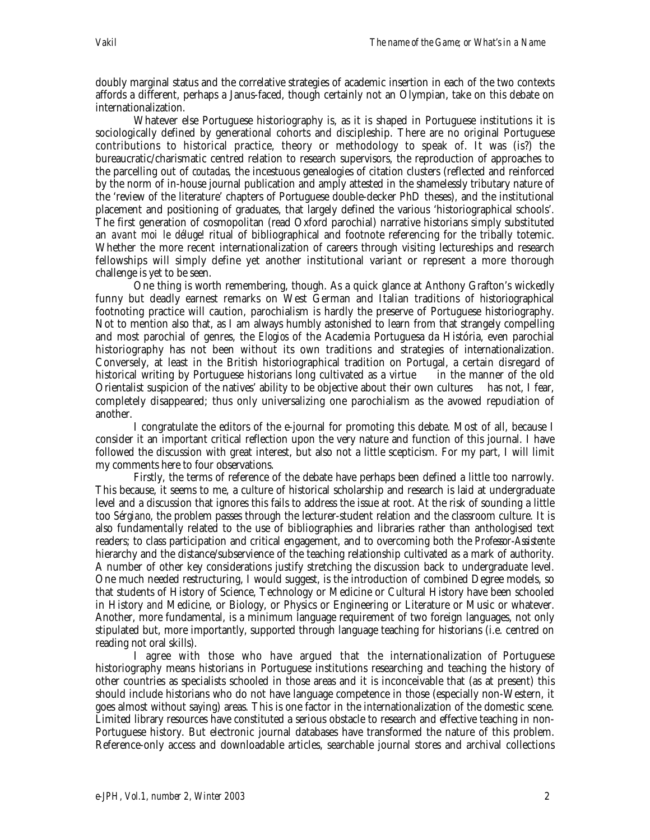doubly marginal status and the correlative strategies of academic insertion in each of the two contexts affords a different, perhaps a Janus-faced, though certainly not an Olympian, take on this debate on internationalization.

Whatever else Portuguese historiography is, as it is shaped in Portuguese institutions it is sociologically defined by generational cohorts and discipleship. There are no original Portuguese contributions to historical practice, theory or methodology to speak of. It was (is?) the bureaucratic/charismatic centred relation to research supervisors, the reproduction of approaches to the parcelling out of *coutadas*, the incestuous genealogies of citation clusters (reflected and reinforced by the norm of in-house journal publication and amply attested in the shamelessly tributary nature of the 'review of the literature' chapters of Portuguese double-decker PhD theses), and the institutional placement and positioning of graduates, that largely defined the various 'historiographical schools'. The first generation of cosmopolitan (read Oxford parochial) narrative historians simply substituted an *avant moi le déluge!* ritual of bibliographical and footnote referencing for the tribally totemic. Whether the more recent internationalization of careers through visiting lectureships and research fellowships will simply define yet another institutional variant or represent a more thorough challenge is yet to be seen.

One thing is worth remembering, though. As a quick glance at Anthony Grafton's wickedly funny but deadly earnest remarks on West German and Italian traditions of historiographical footnoting practice will caution, parochialism is hardly the preserve of Portuguese historiography. Not to mention also that, as I am always humbly astonished to learn from that strangely compelling and most parochial of genres, the *Elogios* of the Academia Portuguesa da História, even parochial historiography has not been without its own traditions and strategies of internationalization. Conversely, at least in the British historiographical tradition on Portugal, a certain disregard of historical writing by Portuguese historians long cultivated as a virtue  $\frac{1}{\sqrt{1-\frac{1}{\sqrt{1-\frac{1}{\sqrt{1-\frac{1}{\sqrt{1-\frac{1}{\sqrt{1-\frac{1}{\sqrt{1-\frac{1}{\sqrt{1-\frac{1}{\sqrt{1-\frac{1}{\sqrt{1-\frac{1}{\sqrt{1-\frac{1}{\sqrt{1-\frac{1}{\sqrt{1-\frac{1}{\sqrt{1-\frac{1}{\sqrt{1-\frac{1}{\sqrt{1-\frac{1}{\sqrt{1-\frac{1$ Orientalist suspicion of the natives' ability to be objective about their own cultures— has not, I fear, completely disappeared; thus only universalizing one parochialism as the avowed repudiation of another.

I congratulate the editors of the e-journal for promoting this debate. Most of all, because I consider it an important critical reflection upon the very nature and function of this journal. I have followed the discussion with great interest, but also not a little scepticism. For my part, I will limit my comments here to four observations.

Firstly, the terms of reference of the debate have perhaps been defined a little too narrowly. This because, it seems to me, a culture of historical scholarship and research is laid at undergraduate level and a discussion that ignores this fails to address the issue at root. At the risk of sounding a little too *Sérgiano*, the problem passes through the lecturer-student relation and the classroom culture. It is also fundamentally related to the use of bibliographies and libraries rather than anthologised text readers; to class participation and critical engagement, and to overcoming both the *Professor*-*Assistente* hierarchy and the distance/subservience of the teaching relationship cultivated as a mark of authority. A number of other key considerations justify stretching the discussion back to undergraduate level. One much needed restructuring, I would suggest, is the introduction of combined Degree models, so that students of History of Science, Technology or Medicine or Cultural History have been schooled in History *and* Medicine, or Biology, or Physics or Engineering or Literature or Music or whatever. Another, more fundamental, is a minimum language requirement of two foreign languages, not only stipulated but, more importantly, supported through language teaching for historians (i.e. centred on reading not oral skills).

I agree with those who have argued that the internationalization of Portuguese historiography means historians in Portuguese institutions researching and teaching the history of other countries as specialists schooled in those areas and it is inconceivable that (as at present) this should include historians who do not have language competence in those (especially non-Western, it goes almost without saying) areas. This is one factor in the internationalization of the domestic scene. Limited library resources have constituted a serious obstacle to research and effective teaching in non-Portuguese history. But electronic journal databases have transformed the nature of this problem. Reference-only access and downloadable articles, searchable journal stores and archival collections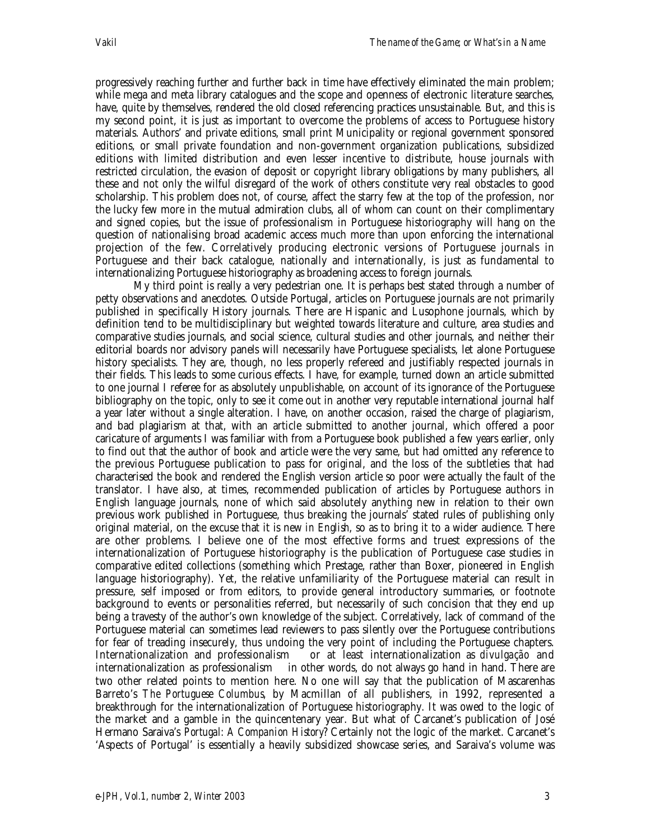progressively reaching further and further back in time have effectively eliminated the main problem; while mega and meta library catalogues and the scope and openness of electronic literature searches, have, quite by themselves, rendered the old closed referencing practices unsustainable. But, and this is my second point, it is just as important to overcome the problems of access to Portuguese history materials. Authors' and private editions, small print Municipality or regional government sponsored editions, or small private foundation and non-government organization publications, subsidized editions with limited distribution and even lesser incentive to distribute, house journals with restricted circulation, the evasion of deposit or copyright library obligations by many publishers, all these and not only the wilful disregard of the work of others constitute very real obstacles to good scholarship. This problem does not, of course, affect the starry few at the top of the profession, nor the lucky few more in the mutual admiration clubs, all of whom can count on their complimentary and signed copies, but the issue of professionalism in Portuguese historiography will hang on the question of nationalising broad academic access much more than upon enforcing the international projection of the few. Correlatively producing electronic versions of Portuguese journals in Portuguese and their back catalogue, nationally and internationally, is just as fundamental to internationalizing Portuguese historiography as broadening access to foreign journals.

My third point is really a very pedestrian one. It is perhaps best stated through a number of petty observations and anecdotes. Outside Portugal, articles on Portuguese journals are not primarily published in specifically History journals. There are Hispanic and Lusophone journals, which by definition tend to be multidisciplinary but weighted towards literature and culture, area studies and comparative studies journals, and social science, cultural studies and other journals, and neither their editorial boards nor advisory panels will necessarily have Portuguese specialists, let alone Portuguese history specialists. They are, though, no less properly refereed and justifiably respected journals in their fields. This leads to some curious effects. I have, for example, turned down an article submitted to one journal I referee for as absolutely unpublishable, on account of its ignorance of the Portuguese bibliography on the topic, only to see it come out in another very reputable international journal half a year later without a single alteration. I have, on another occasion, raised the charge of plagiarism, and bad plagiarism at that, with an article submitted to another journal, which offered a poor caricature of arguments I was familiar with from a Portuguese book published a few years earlier, only to find out that the author of book and article were the very same, but had omitted any reference to the previous Portuguese publication to pass for original, and the loss of the subtleties that had characterised the book and rendered the English version article so poor were actually the fault of the translator. I have also, at times, recommended publication of articles by Portuguese authors in English language journals, none of which said absolutely anything new in relation to their own previous work published in Portuguese, thus breaking the journals' stated rules of publishing only original material, on the excuse that it is new *in English*, so as to bring it to a wider audience. There are other problems. I believe one of the most effective forms and truest expressions of the internationalization of Portuguese historiography is the publication of Portuguese case studies in comparative edited collections (something which Prestage, rather than Boxer, pioneered in English language historiography). Yet, the relative unfamiliarity of the Portuguese material can result in pressure, self imposed or from editors, to provide general introductory summaries, or footnote background to events or personalities referred, but necessarily of such concision that they end up being a travesty of the author's own knowledge of the subject. Correlatively, lack of command of the Portuguese material can sometimes lead reviewers to pass silently over the Portuguese contributions for fear of treading insecurely, thus undoing the very point of including the Portuguese chapters. Internationalization and professionalism — or at least internationalization as *divulgação* and internationalization as professionalism— in other words, do not always go hand in hand. There are two other related points to mention here. No one will say that the publication of Mascarenhas Barreto's *The Portuguese Columbus*, by Macmillan of all publishers, in 1992, represented a breakthrough for the internationalization of Portuguese historiography. It was owed to the logic of the market and a gamble in the quincentenary year. But what of Carcanet's publication of José Hermano Saraiva's *Portugal: A Companion History*? Certainly not the logic of the market. Carcanet's 'Aspects of Portugal' is essentially a heavily subsidized showcase series, and Saraiva's volume was